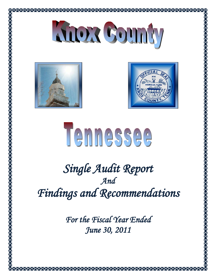





# Tennessee

# *Single Audit Report And Findings and Recommendations*

*For the Fiscal Year Ended June 30, 2011*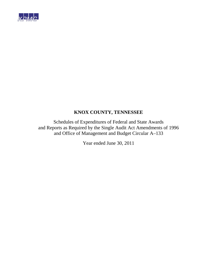

Schedules of Expenditures of Federal and State Awards and Reports as Required by the Single Audit Act Amendments of 1996 and Office of Management and Budget Circular A–133

Year ended June 30, 2011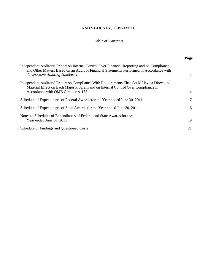# **Table of Contents**

|                                                                                                                                                                                                                          | Page           |
|--------------------------------------------------------------------------------------------------------------------------------------------------------------------------------------------------------------------------|----------------|
| Independent Auditors' Report on Internal Control Over Financial Reporting and on Compliance<br>and Other Matters Based on an Audit of Financial Statements Performed in Accordance with<br>Government Auditing Standards | $\mathbf{1}$   |
| Independent Auditors' Report on Compliance With Requirements That Could Have a Direct and<br>Material Effect on Each Major Program and on Internal Control Over Compliance in<br>Accordance with OMB Circular A-133      | $\overline{4}$ |
| Schedule of Expenditures of Federal Awards for the Year ended June 30, 2011                                                                                                                                              | 7              |
| Schedule of Expenditures of State Awards for the Year ended June 30, 2011                                                                                                                                                | 16             |
| Notes to Schedules of Expenditures of Federal and State Awards for the<br>Year ended June 30, 2011                                                                                                                       | 19             |
| Schedule of Findings and Questioned Costs                                                                                                                                                                                | 21             |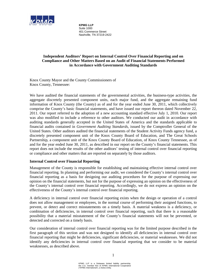

**KPMG LLP**  Suite 1000 401 Commerce Street Nashville, TN 37219-2422

# **Independent Auditors' Report on Internal Control Over Financial Reporting and on Compliance and Other Matters Based on an Audit of Financial Statements Performed in Accordance with Government Auditing Standards**

Knox County Mayor and the County Commissioners of Knox County, Tennessee:

We have audited the financial statements of the governmental activities, the business-type activities, the aggregate discretely presented component units, each major fund, and the aggregate remaining fund information of Knox County (the County) as of and for the year ended June 30, 2011, which collectively comprise the County's basic financial statements, and have issued our report thereon dated November 22, 2011. Our report referred to the adoption of a new accounting standard effective July 1, 2010. Our report was also modified to include a reference to other auditors. We conducted our audit in accordance with auditing standards generally accepted in the United States of America and the standards applicable to financial audits contained in *Government Auditing Standards*, issued by the Comptroller General of the United States. Other auditors audited the financial statements of the Student Activity Funds agency fund, a discretely presented component unit of the Knox County Board of Education, and The Great Schools Partnership, a component unit of the Knox County Board of Education, of Knox County Tennessee, as of and for the year ended June 30, 2011, as described in our report on the County's financial statements. This report does not include the results of the other auditors' testing of internal control over financial reporting or compliance and other matters that are reported on separately by those auditors.

#### **Internal Control over Financial Reporting**

Management of the County is responsible for establishing and maintaining effective internal control over financial reporting. In planning and performing our audit, we considered the County's internal control over financial reporting as a basis for designing our auditing procedures for the purpose of expressing our opinion on the financial statements, but not for the purpose of expressing an opinion on the effectiveness of the County's internal control over financial reporting. Accordingly, we do not express an opinion on the effectiveness of the County's internal control over financial reporting.

A deficiency in internal control over financial reporting exists when the design or operation of a control does not allow management or employees, in the normal course of performing their assigned functions, to prevent, or detect and correct misstatements on a timely basis. A material weakness is a deficiency, or combination of deficiencies, in internal control over financial reporting, such that there is a reasonable possibility that a material misstatement of the County's financial statements will not be prevented, or detected and corrected on a timely basis.

Our consideration of internal control over financial reporting was for the limited purpose described in the first paragraph of this section and was not designed to identify all deficiencies in internal control over financial reporting that might be deficiencies, significant deficiencies, or material weaknesses. We did not identify any deficiencies in internal control over financial reporting that we consider to be material weaknesses, as described above.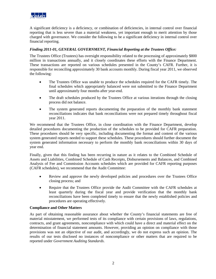

A significant deficiency is a deficiency, or combination of deficiencies, in internal control over financial reporting that is less severe than a material weakness, yet important enough to merit attention by those charged with governance. We consider the following to be a significant deficiency in internal control over financial reporting.

# *Finding 2011-01, GENERAL GOVERNMENT, Financial Reporting at the Trustees Office:*

The Trustees Office (Trustees) has oversight responsibility related to the processing of approximately \$800 million in transactions annually, and it closely coordinates these efforts with the Finance Department. These transactions are reported on various schedules presented in the County's CAFR. Further, it is responsible for reconciling approximately 30 bank accounts monthly. During fiscal year 2011, we observed the following:

- The Trustees Office was unable to produce the schedules required for the CAFR timely. The final schedules which appropriately balanced were not submitted to the Finance Department until approximately four months after year-end.
- The draft schedules produced by the Trustees Office at various iterations through the closing process did not balance.
- The system generated reports documenting the preparation of the monthly bank statement reconciliations indicates that bank reconciliations were not prepared timely throughout fiscal year 2011.

We recommend that the Trustees Office, in close coordination with the Finance Department, develop detailed procedures documenting the production of the schedules to be provided for CAFR preparation. These procedures should be very specific, including documenting the format and content of the various system generated reports needed to support these schedules. These procedures should further document the system generated information necessary to perform the monthly bank reconciliations within 30 days of year end.

Finally, given that this finding has been recurring in nature as it relates to the Combined Schedule of Assets and Liabilities, Combined Schedule of Cash Receipts, Disbursements and Balances, and Combined Analysis of Fee and Commission Accounts schedules which are provided for CAFR reporting purposes (CAFR schedules), we recommend that the Audit Committee:

- Review and approve the newly developed policies and procedures over the Trustees Office closing process; and
- Require that the Trustees Office provide the Audit Committee with the CAFR schedules at least quarterly during the fiscal year and provide verification that the monthly bank reconciliations have been completed timely to ensure that the newly established policies and procedures are operating effectively.

#### **Compliance and Other Matters**

As part of obtaining reasonable assurance about whether the County's financial statements are free of material misstatement, we performed tests of its compliance with certain provisions of laws, regulations, contracts, and grant agreements, noncompliance with which could have a direct and material effect on the determination of financial statement amounts. However, providing an opinion on compliance with those provisions was not an objective of our audit, and accordingly, we do not express such an opinion. The results of our tests disclosed no instances of noncompliance or other matters that are required to be reported under *Government Auditing Standards*.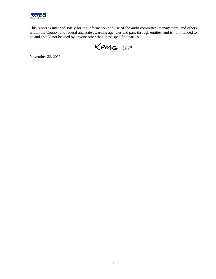

This report is intended solely for the information and use of the audit committee, management, and others within the County, and federal and state awarding agencies and pass-through entities, and is not intended to be and should not be used by anyone other than these specified parties.



November 22, 2011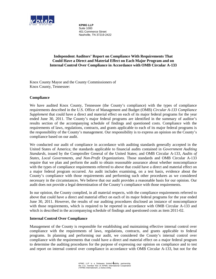

**KPMG LLP**  Suite 1000 401 Commerce Street Nashville, TN 37219-2422

# **Independent Auditors' Report on Compliance With Requirements That Could Have a Direct and Material Effect on Each Major Program and on Internal Control Over Compliance in Accordance with OMB Circular A-133**

Knox County Mayor and the County Commissioners of Knox County, Tennessee:

#### **Compliance**

We have audited Knox County, Tennessee (the County's compliance) with the types of compliance requirements described in the U.S. Office of Management and Budget (OMB) *Circular A-133 Compliance Supplement* that could have a direct and material effect on each of its major federal programs for the year ended June 30, 2011. The County's major federal programs are identified in the summary of auditor's results section of the accompanying schedule of findings and questioned costs. Compliance with the requirements of laws, regulations, contracts, and grants applicable to each of its major federal programs is the responsibility of the County's management. Our responsibility is to express an opinion on the County's compliance based on our audit.

We conducted our audit of compliance in accordance with auditing standards generally accepted in the United States of America; the standards applicable to financial audits contained in *Government Auditing Standards*, issued by the Comptroller General of the United States; and OMB Circular A-133, *Audits of States, Local Governments, and Non-Profit Organizations*. Those standards and OMB Circular A-133 require that we plan and perform the audit to obtain reasonable assurance about whether noncompliance with the types of compliance requirements referred to above that could have a direct and material effect on a major federal program occurred. An audit includes examining, on a test basis, evidence about the County's compliance with those requirements and performing such other procedures as we considered necessary in the circumstances. We believe that our audit provides a reasonable basis for our opinion. Our audit does not provide a legal determination of the County's compliance with those requirements.

In our opinion, the County complied, in all material respects, with the compliance requirements referred to above that could have a direct and material effect on each of its major federal programs for the year ended June 30, 2011. However, the results of our auditing procedures disclosed an instance of noncompliance with those requirements, which is required to be reported in accordance with OMB Circular A-133 and which is described in the accompanying schedule of findings and questioned costs as item 2011-02.

#### **Internal Control Over Compliance**

Management of the County is responsible for establishing and maintaining effective internal control over compliance with the requirements of laws, regulations, contracts, and grants applicable to federal programs. In planning and performing our audit, we considered the County's internal control over compliance with the requirements that could have a direct and material effect on a major federal program to determine the auditing procedures for the purpose of expressing our opinion on compliance and to test and report on internal control over compliance in accordance with OMB Circular A-133, but not for the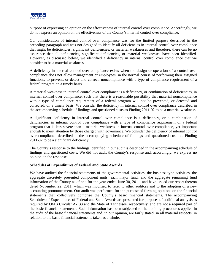

purpose of expressing an opinion on the effectiveness of internal control over compliance. Accordingly, we do not express an opinion on the effectiveness of the County's internal control over compliance.

Our consideration of internal control over compliance was for the limited purpose described in the preceding paragraph and was not designed to identify all deficiencies in internal control over compliance that might be deficiencies, significant deficiencies, or material weaknesses and therefore, there can be no assurance that all deficiencies, significant deficiencies, or material weaknesses have been identified. However, as discussed below, we identified a deficiency in internal control over compliance that we consider to be a material weakness.

A deficiency in internal control over compliance exists when the design or operation of a control over compliance does not allow management or employees, in the normal course of performing their assigned functions, to prevent, or detect and correct, noncompliance with a type of compliance requirement of a federal program on a timely basis.

A material weakness in internal control over compliance is a deficiency, or combination of deficiencies, in internal control over compliance, such that there is a reasonable possibility that material noncompliance with a type of compliance requirement of a federal program will not be prevented, or detected and corrected, on a timely basis. We consider the deficiency in internal control over compliance described in the accompanying schedule of findings and questioned costs as Finding 2011-02 to be a material weakness.

A significant deficiency in internal control over compliance is a deficiency, or a combination of deficiencies, in internal control over compliance with a type of compliance requirement of a federal program that is less severe than a material weakness in internal control over compliance, yet important enough to merit attention by those charged with governance. We consider the deficiency of internal control over compliance described in the accompanying schedule of findings and questioned costs as Finding 2011-02 to be a significant deficiency.

The County's response to the findings identified in our audit is described in the accompanying schedule of findings and questioned costs. We did not audit the County's response and, accordingly, we express no opinion on the response.

#### **Schedules of Expenditures of Federal and State Awards**

We have audited the financial statements of the governmental activities, the business-type activities, the aggregate discretely presented component units, each major fund, and the aggregate remaining fund information of the County as of and for the year ended June 30, 2011, and have issued our report thereon dated November 22, 2011, which was modified to refer to other auditors and to the adoption of a new accounting pronouncement. Our audit was performed for the purpose of forming opinions on the financial statements that collectively comprise the County's basic financial statements. The accompanying Schedules of Expenditures of Federal and State Awards are presented for purposes of additional analysis as required by OMB Circular A-133 and the State of Tennessee, respectively, and are not a required part of the basic financial statements. Such information has been subjected to the auditing procedures applied in the audit of the basic financial statements and, in our opinion, are fairly stated, in all material respects, in relation to the basic financial statements taken as a whole.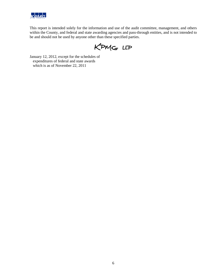

This report is intended solely for the information and use of the audit committee, management, and others within the County, and federal and state awarding agencies and pass-through entities, and is not intended to be and should not be used by anyone other than these specified parties.

KPMG LLP

January 12, 2012, except for the schedules of expenditures of federal and state awards which is as of November 22, 2011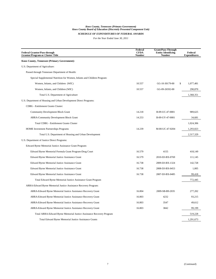| <b>Federal Grantor/Pass-through</b><br><b>Grantor/Program or Cluster Title</b> | Federal<br><b>CFDA</b><br><b>Number</b> | <b>Grant/Pass-Through</b><br><b>Entity Identifying</b><br><b>Number</b> | Federal<br><b>Expenditures</b> |
|--------------------------------------------------------------------------------|-----------------------------------------|-------------------------------------------------------------------------|--------------------------------|
| Knox County, Tennessee (Primary Government):                                   |                                         |                                                                         |                                |
| U.S. Department of Agriculture:                                                |                                         |                                                                         |                                |
| Passed through Tennessee Department of Health:                                 |                                         |                                                                         |                                |
| Special Supplemental Nutrition for Women, Infants and Children Program:        |                                         |                                                                         |                                |
| Women, Infants, and Children (WIC)                                             | 10.557                                  | GG-10-30179-00                                                          | \$<br>1,077,481                |
| Women, Infants, and Children (WIC)                                             | 10.557                                  | GG-09-26592-00                                                          | 290,870                        |
| Total U.S. Department of Agriculture                                           |                                         |                                                                         | 1,368,351                      |
| U.S. Department of Housing and Urban Development Direct Programs:              |                                         |                                                                         |                                |
| CDBG - Entitlement Grants Cluster:                                             |                                         |                                                                         |                                |
| <b>Community Development Block Grant</b>                                       | 14.218                                  | B-09-UC-47-0001                                                         | 989,625                        |
| <b>ARRA-Community Development Block Grant</b>                                  | 14.253                                  | B-09-UY-47-0001                                                         | 34,681                         |
| Total CDBG - Entitlement Grants Cluster                                        |                                         |                                                                         | 1,024,306                      |
| HOME Investment Partnerships Programs                                          | 14.239                                  | M-00-UC-47-0204                                                         | 1,293,023                      |
| Total U.S. Department of Housing and Urban Development                         |                                         |                                                                         | 2,317,329                      |
| U.S. Department of Justice Direct Programs:                                    |                                         |                                                                         |                                |
| Edward Byrne Memorial Justice Assistance Grant Program:                        |                                         |                                                                         |                                |
| Edward Byrne Memorial Formula Grant Program-Drug Court                         | 16.579                                  | 4155                                                                    | 418,149                        |
| Edward Byrne Memorial Justice Assistance Grant                                 | 16.579                                  | 2010-DJ-BX-0769                                                         | 111,145                        |
| Edward Byrne Memorial Justice Assistance Grant                                 | 16.738                                  | 2009-DJ-BX-1324                                                         | 142,728                        |
| Edward Byrne Memorial Justice Assistance Grant                                 | 16.738                                  | 2008-DJ-BX-0453                                                         | 1,005                          |
| Edward Byrne Memorial Justice Assistance Grant                                 | 16.738                                  | 2007-DJ-BX-0485                                                         | 99,418                         |
| Total Edward Byrne Memorial Justice Assistance Grant Program                   |                                         |                                                                         | 772,445                        |
| ARRA-Edward Byrne Memorial Justice Assistance Recovery Program:                |                                         |                                                                         |                                |
| ARRA-Edward Byrne Memorial Justice Assistance Recovery Grant                   | 16.804                                  | 2009-SB-B9-2035                                                         | 277,202                        |
| ARRA-Edward Byrne Memorial Justice Assistance Recovery Grant                   | 16.803                                  | 4232                                                                    | 93,215                         |
| ARRA-Edward Byrne Memorial Justice Assistance Recovery Grant                   | 16.803                                  | 3547                                                                    | 49,612                         |
| ARRA-Edward Byrne Memorial Justice Assistance Recovery Grant                   | 16.803                                  | 3842                                                                    | 99,199                         |
| Total ARRA-Edward Byrne Memorial Justice Assistance Recovery Program           |                                         |                                                                         | 519,228                        |
| Total Edward Byrne Memorial Justice Assistance Grants                          |                                         |                                                                         | 1,291,673                      |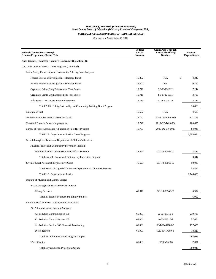| <b>Federal Grantor/Pass-through</b><br><b>Grantor/Program or Cluster Title</b> | Federal<br><b>CFDA</b><br>Number | <b>Grant/Pass-Through</b><br><b>Entity Identifying</b><br><b>Number</b> | Federal<br><b>Expenditures</b> |
|--------------------------------------------------------------------------------|----------------------------------|-------------------------------------------------------------------------|--------------------------------|
| Knox County, Tennessee (Primary Government) (continued):                       |                                  |                                                                         |                                |
| U.S. Department of Justice Direct Programs (continued):                        |                                  |                                                                         |                                |
| Public Safety Partnership and Community Policing Grant Program:                |                                  |                                                                         |                                |
| Federal Bureau of Investigation - Mortgage Fraud                               | 16.302                           | N/A                                                                     | \$<br>4,342                    |
| Federal Bureau of Investigation - Mortgage Fraud                               | 16.302                           | N/A                                                                     | 6,790                          |
| Organized Crime Drug Enforcement Task Forces                                   | 16.710                           | SE-TNE-191H                                                             | 7,244                          |
| Organized Crime Drug Enforcement Task Forces                                   | 16.710                           | SE-TNE-191H                                                             | 3,713                          |
| Safe Streets - FBI Overtime Reimbursement                                      | 16.710                           | 281D-KX-61230                                                           | 14,789                         |
| Total Public Safety Partnership and Community Policing Grant Program           |                                  |                                                                         | 36,878                         |
| <b>Bulletproof Vest</b>                                                        | 16.607                           | N/A                                                                     | 4,616                          |
| National Institute of Justice Cold Case Grant                                  | 16.741                           | 2009-DN-BX-K166                                                         | 171,195                        |
| Coverdell Forensic Science Improvement                                         | 16.742                           | 2010-CD-BX-0084                                                         | 104,636                        |
| Bureau of Justice Assistance Adjudication Pilot Hire Program                   | 16.751                           | 2009-D2-BX-0027                                                         | 84,036                         |
| Total U.S. Department of Justice Direct Programs                               |                                  |                                                                         | 1,693,034                      |
| Passed through the Tennessee Department of Children's Services:                |                                  |                                                                         |                                |
| Juvenile Justice and Delinquency Prevention Program:                           |                                  |                                                                         |                                |
| Public Defender - Commission on Children & Youth                               | 16.540                           | GG-10-30069-00                                                          | 3,347                          |
| Total Juvenile Justice and Delinquency Prevention Program                      |                                  |                                                                         | 3,347                          |
| Juvenile Court Accountability Incentive Grant                                  | 16.523                           | GG-10-30069-00                                                          | 50,087                         |
| Total passed through the Tennessee Department of Children's Services           |                                  |                                                                         | 53,434                         |
| Total U.S. Department of Justice                                               |                                  |                                                                         | 1,746,468                      |
| Institute of Museum and Library Studies                                        |                                  |                                                                         |                                |
| Passed through Tennessee Secretary of State:                                   |                                  |                                                                         |                                |
| <b>Library Services</b>                                                        | 45.310                           | GG-10-30545-00                                                          | 6,902                          |
| Total Institute of Museum and Library Studies                                  |                                  |                                                                         | 6,902                          |
| <b>Environmental Protection Agency Direct Programs:</b>                        |                                  |                                                                         |                                |
| Air Pollution Control Program Support:                                         |                                  |                                                                         |                                |
| Air Pollution Control Section 105                                              | 66.001                           | A-00408310-3                                                            | 239,793                        |
| Air Pollution Control Section 105                                              | 66.001                           | A-00408310-2                                                            | 57,604                         |
| Air Pollution Section 103 Clean Air Monitoring                                 | 66.001                           | PM-96437805-2                                                           | 177,425                        |
| Diesel Retrofit                                                                | 66.001                           | DE-95417609-0                                                           | 18,223                         |
| Total Air Pollution Control Program Support                                    |                                  |                                                                         | 493,045                        |
| <b>Water Quality</b>                                                           | 66.463                           | CP-96455806                                                             | 7,001                          |
| <b>Total Environmental Protection Agency</b>                                   |                                  |                                                                         | 500,046                        |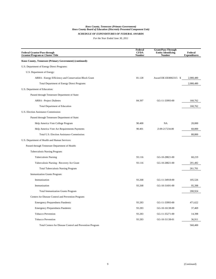| <b>Federal Grantor/Pass-through</b><br><b>Grantor/Program or Cluster Title</b> | Federal<br><b>CFDA</b><br>Number | <b>Grant/Pass-Through</b><br><b>Entity Identifying</b><br><b>Number</b> | Federal<br><b>Expenditures</b> |
|--------------------------------------------------------------------------------|----------------------------------|-------------------------------------------------------------------------|--------------------------------|
| Knox County, Tennessee (Primary Government) (continued):                       |                                  |                                                                         |                                |
| U.S. Department of Energy Direct Programs:                                     |                                  |                                                                         |                                |
| U.S. Department of Energy:                                                     |                                  |                                                                         |                                |
| ARRA - Energy Efficiency and Conservation Block Grant                          | 81.128                           | Award DE-EE0002315 \$                                                   | 2,088,480                      |
| <b>Total Department of Energy Direct Programs</b>                              |                                  |                                                                         | 2,088,480                      |
| U.S. Department of Education:                                                  |                                  |                                                                         |                                |
| Passed through Tennessee Department of State:                                  |                                  |                                                                         |                                |
| <b>ARRA</b> - Project Diabetes                                                 | 84.397                           | GG-11-33993-00                                                          | 160,762                        |
| <b>Total Department of Education</b>                                           |                                  |                                                                         | 160,762                        |
| U.S. Election Assistance Commission:                                           |                                  |                                                                         |                                |
| Passed through Tennessee Department of State:                                  |                                  |                                                                         |                                |
| Help America Vote College Program                                              | 90.400                           | <b>NA</b>                                                               | 20,000                         |
| Help America Vote Act Requirements Payments                                    | 90.401                           | Z-09-217234.00                                                          | 68,800                         |
| Total U.S. Election Assistance Commission:                                     |                                  |                                                                         | 88,800                         |
| U.S. Department of Health and Human Services:                                  |                                  |                                                                         |                                |
| Passed through Tennessee Department of Health:                                 |                                  |                                                                         |                                |
| Tuberculosis Nursing Program:                                                  |                                  |                                                                         |                                |
| <b>Tuberculosis Nursing</b>                                                    | 93.116                           | GG-10-28821-00                                                          | 60,219                         |
| Tuberculosis Nursing - Recovery Act Grant                                      | 93.116                           | GG-10-28821-00                                                          | 201,482                        |
| <b>Total Tuberculosis Nursing Program</b>                                      |                                  |                                                                         | 261,701                        |
| Immunization Grants Program:                                                   |                                  |                                                                         |                                |
| Immunization                                                                   | 93.268                           | GG-11-34918-00                                                          | 105,526                        |
| Immunization                                                                   | 93.268                           | GG-10-31691-00                                                          | 95,398                         |
| <b>Total Immunization Grants Program</b>                                       |                                  |                                                                         | 200,924                        |
| Centers for Disease Control and Prevention Program:                            |                                  |                                                                         |                                |
| <b>Emergency Preparedness Pandemic</b>                                         | 93.283                           | GG-11-33993-00                                                          | 471,622                        |
| <b>Emergency Preparedness Pandemic</b>                                         | 93.283                           | GG-10-16138-00                                                          | 37,469                         |
| <b>Tobacco Prevention</b>                                                      | 93.283                           | GG-11-35271-00                                                          | 14,398                         |
| <b>Tobacco Prevention</b>                                                      | 93.283                           | GG-10-31138-01                                                          | 36,911                         |
| Total Centers for Disease Control and Prevention Program                       |                                  |                                                                         | 560,400                        |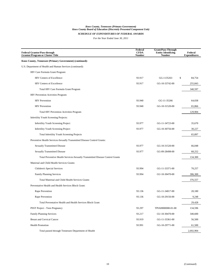| <b>Federal Grantor/Pass-through</b><br><b>Grantor/Program or Cluster Title</b> | Federal<br><b>CFDA</b><br><b>Number</b> | <b>Grant/Pass-Through</b><br><b>Entity Identifying</b><br><b>Number</b> | Federal<br><b>Expenditures</b> |
|--------------------------------------------------------------------------------|-----------------------------------------|-------------------------------------------------------------------------|--------------------------------|
| Knox County, Tennessee (Primary Government) (continued):                       |                                         |                                                                         |                                |
| U.S. Department of Health and Human Services (continued):                      |                                         |                                                                         |                                |
| HIV Care Formula Grant Program:                                                |                                         |                                                                         |                                |
| <b>HIV Centers of Excellence</b>                                               | 93.917                                  | GG-1135263<br>\$                                                        | 84,754                         |
| <b>HIV Centers of Excellence</b>                                               | 93.917                                  | GG-10-33742-00                                                          | 255,843                        |
| Total HIV Care Formula Grant Program                                           |                                         |                                                                         | 340,597                        |
| HIV Prevention Activities Program:                                             |                                         |                                                                         |                                |
| <b>HIV</b> Prevention                                                          | 93.940                                  | GG-11-35266                                                             | 64,038                         |
| <b>HIV</b> Prevention                                                          | 93.940                                  | GG-10-31520-00                                                          | 65,866                         |
| <b>Total HIV Prevention Activities Program</b>                                 |                                         |                                                                         | 129,904                        |
| <b>Infertility Youth Screening Projects:</b>                                   |                                         |                                                                         |                                |
| <b>Infertility Youth Screening Project</b>                                     | 93.977                                  | GG-11-34723-00                                                          | 35,670                         |
| <b>Infertility Youth Screening Project</b>                                     | 93.977                                  | GG-10-30756-00                                                          | 30,227                         |
| <b>Total Infertility Youth Screening Projects</b>                              |                                         |                                                                         | 65,897                         |
| Preventive Health Services-Sexually Transmitted Disease Control Grants:        |                                         |                                                                         |                                |
| <b>Sexually Transmitted Disease</b>                                            | 93.977                                  | GG-10-31520-00                                                          | 66,048                         |
| <b>Sexually Transmitted Disease</b>                                            | 93.977                                  | GG-09-28498-00                                                          | 68,252                         |
| Total Preventive Health Services-Sexually Transmitted Disease Control Grants   |                                         |                                                                         | 134,300                        |
| Maternal and Child Health Services Grants:                                     |                                         |                                                                         |                                |
| Children's Special Services                                                    | 93.994                                  | GG-11-33371-00                                                          | 70,257                         |
| <b>Family Planning Services</b>                                                | 93.994                                  | GU-10-30470-00                                                          | 306,300                        |
| Total Maternal and Child Health Services Grants                                |                                         |                                                                         | 376,557                        |
| Preventative Health and Health Services Block Grant:                           |                                         |                                                                         |                                |
| Rape Prevention                                                                | 93.136                                  | GG-11-34017-00                                                          | 20,180                         |
| Rape Prevention                                                                | 93.136                                  | GG-10-29156-00                                                          | 9,248                          |
| Total Preventative Health and Health Services Block Grant                      |                                         |                                                                         | 29,428                         |
| PSST Project - Teen Pregnancy                                                  | 93.297                                  | TPIAH000008-01-00                                                       | 134,596                        |
| Family Planning Services                                                       | 93.217                                  | GU-10-30470-00                                                          | 340,600                        |
| <b>Breast and Cervical Cancer</b>                                              | 93.919                                  | GG-11-33361-00                                                          | 56,500                         |
| <b>Health Promotion</b>                                                        | 93.991                                  | GG-10-29771-00                                                          | 61,500                         |
| Total passed through Tennessee Department of Health                            |                                         |                                                                         | 2,692,904                      |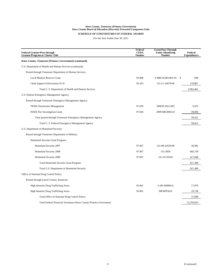| <b>Federal Grantor/Pass-through</b><br><b>Grantor/Program or Cluster Title</b> | Federal<br><b>CFDA</b><br><b>Number</b> | <b>Grant/Pass-Through</b><br><b>Entity Identifying</b><br><b>Number</b> | Federal<br><b>Expenditures</b> |
|--------------------------------------------------------------------------------|-----------------------------------------|-------------------------------------------------------------------------|--------------------------------|
| Knox County, Tennessee (Primary Government) (continued):                       |                                         |                                                                         |                                |
| U.S. Department of Health and Human Services (continued):                      |                                         |                                                                         |                                |
| Passed through Tennessee Department of Human Services:                         |                                         |                                                                         |                                |
| <b>Local Medical Reserve Corps</b>                                             | 93.008                                  | 6 MRCSG061001-03<br>\$                                                  | 690                            |
| Child Support Enforcement IV-D                                                 | 93.563                                  | GG-11-32079-00                                                          | 270,867                        |
| Total U.S. Department of Health and Human Services                             |                                         |                                                                         | 2,964,461                      |
| U.S. Federal Emergency Management Agency:                                      |                                         |                                                                         |                                |
| Passed through Tennessee Emergency Management Agency:                          |                                         |                                                                         |                                |
| TEMA Stormwater Management                                                     | 97.039                                  | HMGP-1821-003                                                           | 9,325                          |
| FEMA Fire Investigation Grant                                                  | 97.044                                  | 2009-M8-0001GF                                                          | 49,096                         |
| Total passed through Tennessee Emergency Management Agency                     |                                         |                                                                         | 58,421                         |
| Total U. S. Federal Emergency Management Agency                                |                                         |                                                                         | 58,421                         |
| U.S. Department of Homeland Security:                                          |                                         |                                                                         |                                |
| Passed through Tennessee Department of Military:                               |                                         |                                                                         |                                |
| Homeland Security Grant Program:                                               |                                         |                                                                         |                                |
| Homeland Security 2007                                                         | 97.067                                  | GG-08-24520-00                                                          | 36,982                         |
| Homeland Security 2008                                                         | 97.067                                  | GG-3958                                                                 | 466,738                        |
| Homeland Security 2009                                                         | 97.067                                  | GG-10-30184                                                             | 417,668                        |
| <b>Total Homeland Security Grant Program</b>                                   |                                         |                                                                         | 921,388                        |
| Total U.S. Department of Homeland Security                                     |                                         |                                                                         | 921,388                        |
| Office of National Drug Control Policy:                                        |                                         |                                                                         |                                |
| Passed through Laurel County, Kentucky:                                        |                                         |                                                                         |                                |
| High Intensity Drug Trafficking Areas                                          | 95.001                                  | G-09-AP0001A                                                            | 17,870                         |
| High Intensity Drug Trafficking Areas                                          | 95.001                                  | I8PAPP501Z                                                              | 19,738                         |
| Total Office of National Drug Control Policy                                   |                                         |                                                                         | 37,608                         |
| Total Federal Financial Assistance-Knox County Primary Government              |                                         |                                                                         | 12,259,016                     |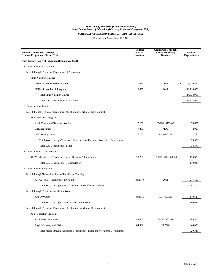| <b>Federal Grantor/Pass-through</b><br><b>Grantor/Program or Cluster Title</b> | Federal<br><b>CFDA</b><br><b>Number</b> | <b>Grant/Pass-Through</b><br><b>Entity Identifying</b><br><b>Number</b> | Federal<br><b>Expenditures</b> |
|--------------------------------------------------------------------------------|-----------------------------------------|-------------------------------------------------------------------------|--------------------------------|
| Knox County Board of Education (Component Unit):                               |                                         |                                                                         |                                |
| U.S. Department of Agriculture :                                               |                                         |                                                                         |                                |
| Passed through Tennessee Department of Agriculture:                            |                                         |                                                                         |                                |
| <b>Child Nutrition Cluster:</b>                                                |                                         |                                                                         |                                |
| USDA School Breakfast Program                                                  | 10.553                                  | 2011<br>S                                                               | 3,420,320                      |
| USDA School Lunch Program                                                      | 10.555                                  | 2011                                                                    | 11,118,670                     |
| <b>Total Child Nutrition Cluster</b>                                           |                                         |                                                                         | 14,538,990                     |
| Total U.S. Department of Agriculture                                           |                                         |                                                                         | 14,538,990                     |
| U.S. Department of Labor:                                                      |                                         |                                                                         |                                |
| Passed through Tennessee Department of Labor and Workforce Development:        |                                         |                                                                         |                                |
| <b>Adult Education Program:</b>                                                |                                         |                                                                         |                                |
| <b>Adult Education Dislocated Worker</b>                                       | 17.260                                  | Z-09-219703-00                                                          | 35,625                         |
| CTE Benchmark                                                                  | 17.267                                  | MOU                                                                     | 2,000                          |
| <b>GED Testing Center</b>                                                      | 17.260                                  | Z-10-222139                                                             | 754                            |
| Total passed through Tennessee Department of Labor and Workforce Development   |                                         |                                                                         | 38,379                         |
| Total U.S. Department of Labor                                                 |                                         |                                                                         | 38,379                         |
| U.S. Department of Transportation:                                             |                                         |                                                                         |                                |
| STEM Education for Teachers - Federal Highway Administration                   | 20.200                                  | DTFH61-08-G-00020                                                       | 110,028                        |
| Total U.S. Department of Transportation                                        |                                         |                                                                         | 110,028                        |
| U.S. Department of Education:                                                  |                                         |                                                                         |                                |
| Passed through National Institute of Excellence Teaching:                      |                                         |                                                                         |                                |
| ARRA - NIET Teacher Incentive Fund                                             | 84.374A                                 | 2011                                                                    | 247,100                        |
| Total passed through National Institute of Excellence Teaching                 |                                         |                                                                         | 247,100                        |
| Passed through Tennessee Arts Commission:                                      |                                         |                                                                         |                                |
| Arts 360 Grant                                                                 | 84.351D                                 | GG-1133286                                                              | 140,627                        |
| Total passed through Tennessee Arts Commission                                 |                                         |                                                                         | 140,627                        |
| Passed through Tennessee Department of Labor and Workforce Development         |                                         |                                                                         |                                |
| <b>Adult Education Program:</b>                                                |                                         |                                                                         |                                |
| <b>Adult Basic Education</b>                                                   | 84.002                                  | Z-10-218525-00                                                          | 285,310                        |
| <b>English Literacy and Civics</b>                                             | 84.002                                  | P07026                                                                  | 44,028                         |
| Total passed through Tennessee Department of Labor and Workforce Development   |                                         |                                                                         | 329,338                        |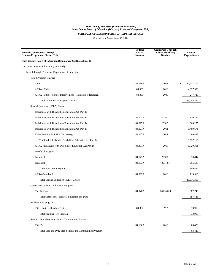| <b>Federal Grantor/Pass-through</b><br><b>Grantor/Program or Cluster Title</b> | Federal<br><b>CFDA</b><br><b>Number</b> | <b>Grant/Pass-Through</b><br><b>Entity Identifying</b><br><b>Number</b> | Federal<br><b>Expenditures</b> |
|--------------------------------------------------------------------------------|-----------------------------------------|-------------------------------------------------------------------------|--------------------------------|
| Knox County Board of Education (Component Unit) (continued):                   |                                         |                                                                         |                                |
| U.S. Department of Education (continued):                                      |                                         |                                                                         |                                |
| Passed through Tennessee Department of Education:                              |                                         |                                                                         |                                |
| Title I Program Cluster:                                                       |                                         |                                                                         |                                |
| Title I                                                                        | 84.010A                                 | 2011                                                                    | \$<br>14,677,202               |
| ARRA - Title I                                                                 | 84.389                                  | 2010                                                                    | 4,327,900                      |
| ARRA - Title I - School Improvement - High School Redesign                     | 84.389                                  | 2009                                                                    | 247,728                        |
| Total Title I Part A Program Cluster:                                          |                                         |                                                                         | 19,252,830                     |
| Special Education (IDEA) Cluster:                                              |                                         |                                                                         |                                |
| Individuals with Disabilities Education Act Part B:                            |                                         |                                                                         |                                |
| Individuals with Disabilities Education Act Part B                             | 84.027A                                 | 2009.21                                                                 | 176,737                        |
| Individuals with Disabilities Education Act Part B                             | 84.027A                                 | 2010.21                                                                 | 860,275                        |
| Individuals with Disabilities Education Act Part B                             | 84.027A                                 | 2011                                                                    | 8,409,671                      |
| <b>IDEA</b> Training Inclusion Technology                                      | 84.027A                                 | 2011                                                                    | 80,433                         |
| Total Individuals with Disabilities Education Act Part B                       |                                         |                                                                         | 9,527,116                      |
| ARRA-Individuals with Disabilities Education Act Part B                        | 84.391A                                 | 2010                                                                    | 5,729,301                      |
| Preschool Program:                                                             |                                         |                                                                         |                                |
| Preschool                                                                      | 84.173A                                 | 2010.21                                                                 | 10,844                         |
| Preschool                                                                      | 84.173A                                 | 2011.01                                                                 | 295,588                        |
| <b>Total Preschool Program</b>                                                 |                                         |                                                                         | 306,432                        |
| ARRA-Preschool                                                                 | 84.392A                                 | 2010                                                                    | 113,516                        |
| Total Special Education (IDEA) Cluster                                         |                                         |                                                                         | 15,676,365                     |
| Career and Technical Education Program:                                        |                                         |                                                                         |                                |
| Carl Perkins                                                                   | 84.048A                                 | 2010-2011                                                               | 887,746                        |
| Total Career and Technical Education Program                                   |                                         |                                                                         | 887,746                        |
| Reading First Program:                                                         |                                         |                                                                         |                                |
| Title I Part B - Reading First                                                 | 84.357                                  | <b>FY09</b>                                                             | 33,918                         |
| <b>Total Reading First Program</b>                                             |                                         |                                                                         | 33,918                         |
| Safe and Drug-Free Schools and Communities Program:                            |                                         |                                                                         |                                |
| Title IV                                                                       | 84.186A                                 | 2010                                                                    | 63,420                         |
| Total Safe and Drug-Free Schools and Communities Program                       |                                         |                                                                         | 63,420                         |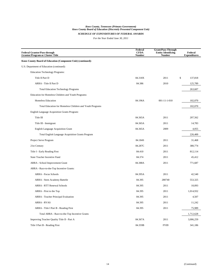| <b>Federal Grantor/Pass-through</b><br><b>Grantor/Program or Cluster Title</b> | Federal<br><b>CFDA</b><br><b>Number</b> | <b>Grant/Pass-Through</b><br><b>Entity Identifying</b><br><b>Number</b> | Federal<br><b>Expenditures</b> |
|--------------------------------------------------------------------------------|-----------------------------------------|-------------------------------------------------------------------------|--------------------------------|
| Knox County Board of Education (Component Unit) (continued):                   |                                         |                                                                         |                                |
| U.S. Department of Education (continued):                                      |                                         |                                                                         |                                |
| <b>Education Technology Programs:</b>                                          |                                         |                                                                         |                                |
| Title II Part D                                                                | 84.318X                                 | 2011                                                                    | \$<br>137,818                  |
| ARRA - Title II Part D                                                         | 84.386                                  | 2010                                                                    | 125,789                        |
| <b>Total Education Technology Programs</b>                                     |                                         |                                                                         | 263,607                        |
| Education for Homeless Children and Youth Programs:                            |                                         |                                                                         |                                |
| <b>Homeless Education</b>                                                      | 84.196A                                 | $001 - 11 - 1 - 010$                                                    | 102,070                        |
| Total Education for Homeless Children and Youth Programs                       |                                         |                                                                         | 102,070                        |
| English Language Acquisition Grants Program:                                   |                                         |                                                                         |                                |
| Title III                                                                      | 84.365A                                 | 2011                                                                    | 207,562                        |
| Title III - Immigrant                                                          | 84.365A                                 | 2011                                                                    | 14,783                         |
| <b>English Language Acquisition Grant</b>                                      | 84.365A                                 | 2009                                                                    | 4,055                          |
| Total English Language Acquisition Grants Program                              |                                         |                                                                         | 226,400                        |
| Project Serve Program                                                          | 84.184S                                 | 2011                                                                    | 31,468                         |
| 21st Century                                                                   | 84.287C                                 | 2011                                                                    | 380,774                        |
| Title I - Early Reading First                                                  | 84.410                                  | 2011                                                                    | 812,114                        |
| <b>State Teacher Incentive Fund</b>                                            | 84.374                                  | 2011                                                                    | 45,412                         |
| ARRA - School Improvement Grant                                                | 84.388A                                 | 2011                                                                    | 771,687                        |
| ARRA - Race-to-the-Top Incentive Grants:                                       |                                         |                                                                         |                                |
| <b>ARRA - Focus Schools</b>                                                    | 84.395A                                 | 2011                                                                    | 42,540                         |
| ARRA - Stem Academy Battelle                                                   | 84.395                                  | 280740                                                                  | 553,325                        |
| <b>ARRA - RTT Renewal Schools</b>                                              | 84.395                                  | 2011                                                                    | 10,093                         |
| ARRA - First to the Top                                                        | 84.395                                  | 2011                                                                    | 1,014,932                      |
| ARRA - Teacher Principal Evaluation                                            | 84.395                                  | 2011                                                                    | 4,507                          |
| <b>ARRA - RVAS</b>                                                             | 84.395                                  | 2011                                                                    | 11,242                         |
| ARRA - Title I Part B - Reading First                                          | 84.395                                  | 2011                                                                    | 75,989                         |
| Total ARRA - Race-to-the-Top Incentive Grants                                  |                                         |                                                                         | 1,712,628                      |
| Improving Teacher Quality Title II - Part A                                    | 84.367A                                 | 2011                                                                    | 3,006,259                      |
| Title I Part B - Reading First                                                 | 84.359B                                 | <b>FY09</b>                                                             | 341,186                        |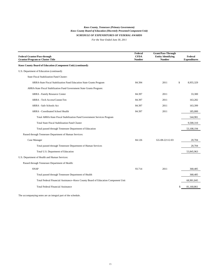#### *Knox County, Tennessee (Primary Government) Knox County Board of Education (Discretely Presented Component Unit) SCHEDULE OF EXPENDITURES OF FEDERAL AWARDS*

*For the Year Ended June 30, 2011*

| <b>Federal Grantor/Pass-through</b><br><b>Grantor/Program or Cluster Title</b>    | Federal<br><b>CFDA</b><br>Number | <b>Grant/Pass-Through</b><br><b>Entity Identifying</b><br><b>Number</b> | Federal<br><b>Expenditures</b> |
|-----------------------------------------------------------------------------------|----------------------------------|-------------------------------------------------------------------------|--------------------------------|
| Knox County Board of Education (Component Unit) (continued):                      |                                  |                                                                         |                                |
| U.S. Department of Education (continued):                                         |                                  |                                                                         |                                |
| State Fiscal Stabilization Fund Cluster:                                          |                                  |                                                                         |                                |
| ARRA-State Fiscal Stabilization Fund Education State Grants Program               | 84.394                           | 2011                                                                    | \$<br>8,955,329                |
| ARRA-State Fiscal Stabilization Fund Government State Grants Program:             |                                  |                                                                         |                                |
| <b>ARRA</b> - Family Resource Center                                              | 84.397                           | 2011                                                                    | 33,300                         |
| ARRA - Tech Access/ConnecTen                                                      | 84.397                           | 2011                                                                    | 163,282                        |
| ARRA - Safe Schools Act                                                           | 84.397                           | 2011                                                                    | 163,399                        |
| ARRA - Coordinated School Health                                                  | 84.397                           | 2011                                                                    | 185,000                        |
| Total ARRA-State Fiscal Stabilization Fund Government Services Program            |                                  |                                                                         | 544,981                        |
| <b>Total State Fiscal Stabilization Fund Cluster</b>                              |                                  |                                                                         | 9,500,310                      |
| Total passed through Tennessee Department of Education                            |                                  |                                                                         | 53,108,194                     |
| Passed through Tennessee Department of Human Services:                            |                                  |                                                                         |                                |
| Case Manager                                                                      | 84.126                           | GG-08-22112-03                                                          | 20,704                         |
| Total passed through Tennessee Department of Human Services                       |                                  |                                                                         | 20,704                         |
| Total U.S. Department of Education                                                |                                  |                                                                         | 53,845,963                     |
| U.S. Department of Health and Human Services:                                     |                                  |                                                                         |                                |
| Passed through Tennessee Department of Health:                                    |                                  |                                                                         |                                |
| <b>SNAP</b>                                                                       | 93.714                           | 2011                                                                    | 368,485                        |
| Total passed through Tennessee Department of Health                               |                                  |                                                                         | 368,485                        |
| Total Federal Financial Assistance--Knox County Board of Education Component Unit |                                  |                                                                         | 68,901,845                     |
| <b>Total Federal Financial Assistance</b>                                         |                                  |                                                                         | 81,160,861<br>S                |

The accompanying notes are an integral part of the schedule.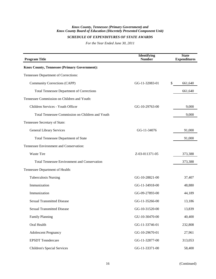# *Knox County, Tennessee (Primary Government) and Knox County Board of Education (Discretely Presented Component Unit)*

# *SCHEDULE OF EXPENDITURES OF STATE AWARDS*

| <b>Program Title</b>                                | Identifying<br><b>Number</b> | <b>State</b><br><b>Expenditures</b> |
|-----------------------------------------------------|------------------------------|-------------------------------------|
| <b>Knox County, Tennessee (Primary Government):</b> |                              |                                     |
| Tennessee Department of Corrections:                |                              |                                     |
| Community Corrections (CAPP)                        | GG-11-32083-01               | \$<br>661,640                       |
| <b>Total Tennessee Department of Corrections</b>    |                              | 661,640                             |
| Tennessee Commission on Children and Youth:         |                              |                                     |
| Children Services - Youth Officer                   | GG-10-29763-00               | 9,000                               |
| Total Tennessee Commission on Children and Youth    |                              | 9,000                               |
| Tennessee Secretary of State:                       |                              |                                     |
| <b>General Library Services</b>                     | GG-11-34076                  | 91,000                              |
| <b>Total Tennessee Department of State</b>          |                              | 91,000                              |
| Tennessee Environment and Conservation:             |                              |                                     |
| Waste Tire                                          | Z-03-011371-05               | 373,388                             |
| <b>Total Tennessee Environment and Conservation</b> |                              | 373,388                             |
| Tennessee Department of Health:                     |                              |                                     |
| <b>Tuberculosis Nursing</b>                         | GG-10-28821-00               | 37,407                              |
| Immunization                                        | GG-11-34918-00               | 48,880                              |
| Immunization                                        | GG-09-27893-00               | 44,189                              |
| <b>Sexual Transmitted Disease</b>                   | GG-11-35266-00               | 13,186                              |
| <b>Sexual Transmitted Disease</b>                   | GG-10-31520-00               | 13,839                              |
| <b>Family Planning</b>                              | GU-10-30470-00               | 40,400                              |
| Oral Health                                         | GG-11-33746-01               | 232,808                             |
| <b>Adolescent Pregnancy</b>                         | GG-10-29670-01               | 27,961                              |
| <b>EPSDT</b> Tenndercare                            | GG-11-32877-00               | 313,053                             |
| Children's Special Services                         | GG-11-33371-00               | 58,400                              |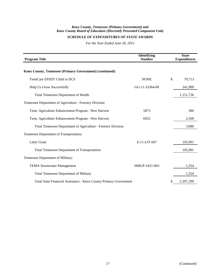# *Knox County, Tennessee (Primary Government) and Knox County Board of Education (Discretely Presented Component Unit)*

# *SCHEDULE OF EXPENDITURES OF STATE AWARDS*

| <b>Program Title</b>                                              | <b>Identifying</b><br><b>Number</b> |    | <b>State</b><br><b>Expenditures</b> |
|-------------------------------------------------------------------|-------------------------------------|----|-------------------------------------|
| Knox County, Tennessee (Primary Government) (continued):          |                                     |    |                                     |
| TennCare EPSDT Child in DCS                                       | <b>NONE</b>                         | \$ | 79,713                              |
| Help Us Grow Successfully                                         | GG-11-33364-00                      |    | 241,900                             |
| <b>Total Tennessee Department of Health</b>                       |                                     |    | 1,151,736                           |
| Tennessee Department of Agriculture - Forestry Division:          |                                     |    |                                     |
| Tenn. Agriculture Enhancement Program - New Harvest               | 5873                                |    | 580                                 |
| Tenn. Agriculture Enhancement Program - New Harvest               | 6922                                |    | 2,500                               |
| Total Tennessee Department of Agriculture - Forestry Division     |                                     |    | 3,080                               |
| Tennessee Department of Transportation:                           |                                     |    |                                     |
| <b>Litter Grant</b>                                               | Z-11-LIT-047                        |    | 105,901                             |
| <b>Total Tennessee Department of Transportation</b>               |                                     |    | 105,901                             |
| Tennessee Department of Military:                                 |                                     |    |                                     |
| <b>TEMA Stormwater Management</b>                                 | HMGP-1821-003                       |    | 1,554                               |
| <b>Total Tennessee Department of Military</b>                     |                                     |    | 1,554                               |
| Total State Financial Assistance - Knox County Primary Government |                                     | S  | 2,397,299                           |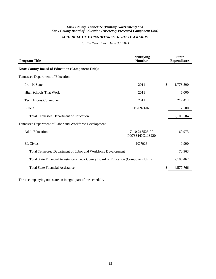## *Knox County, Tennessee (Primary Government) and Knox County Board of Education (Discretely Presented Component Unit)*

# *SCHEDULE OF EXPENDITURES OF STATE AWARDS*

*For the Year Ended June 30, 2011*

| <b>Program Title</b>                                                               | <b>Identifying</b><br><b>Number</b> | <b>State</b><br><b>Expenditures</b> |
|------------------------------------------------------------------------------------|-------------------------------------|-------------------------------------|
| <b>Knox County Board of Education (Component Unit):</b>                            |                                     |                                     |
| Tennessee Department of Education:                                                 |                                     |                                     |
| Pre - K State                                                                      | 2011                                | \$<br>1,773,590                     |
| <b>High Schools That Work</b>                                                      | 2011                                | 6,000                               |
| Tech Access/ConnecTen                                                              | 2011                                | 217,414                             |
| <b>LEAPS</b>                                                                       | 119-09-3-023                        | 112,500                             |
| <b>Total Tennessee Department of Education</b>                                     |                                     | 2,109,504                           |
| Tennessee Department of Labor and Workforce Development:                           |                                     |                                     |
| <b>Adult Education</b>                                                             | Z-10-218525-00<br>PO7334/DG113220   | 60,973                              |
| <b>EL Civics</b>                                                                   | PO7026                              | 9,990                               |
| Total Tennessee Department of Labor and Workforce Development                      |                                     | 70,963                              |
| Total State Financial Assistance - Knox County Board of Education (Component Unit) |                                     | 2,180,467                           |
| <b>Total State Financial Assistance</b>                                            |                                     | \$<br>4,577,766                     |

The accompanying notes are an integral part of the schedule.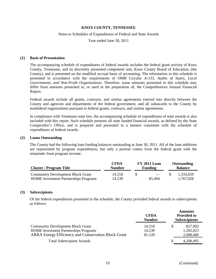#### Notes to Schedules of Expenditures of Federal and State Awards

Year ended June 30, 2011

#### **(1) Basis of Presentation**

The accompanying schedule of expenditures of federal awards includes the federal grant activity of Knox County, Tennessee, and its discretely presented component unit, Knox County Board of Education, (the County), and is presented on the modified accrual basis of accounting. The information in this schedule is presented in accordance with the requirements of OMB Circular A-133, *Audits of States, Local Governments, and Non-Profit Organizations.* Therefore, some amounts presented in this schedule may differ from amounts presented in, or used in the preparation of, the Comprehensive Annual Financial Report.

Federal awards include all grants, contracts, and similar agreements entered into directly between the County and agencies and departments of the federal government, and all subawards to the County by nonfederal organizations pursuant to federal grants, contracts, and similar agreements.

In compliance with Tennessee state law, the accompanying schedule of expenditures of state awards is also included with this report. Such schedule presents all state funded financial awards, as defined by the State Comptroller's Office, and is prepared and presented in a manner consistent with the schedule of expenditures of federal awards.

#### **(2) Loans Outstanding**

The County had the following loan funding balances outstanding at June 30, 2011. All of the loan additions are represented by program expenditures, but only a portion comes from the federal grant with the remainder from program income:

| <b>Cluster / Program Title</b>                                                           | <b>CFDA</b>      | <b>FY 2011 Loan</b>              | Outstanding            |
|------------------------------------------------------------------------------------------|------------------|----------------------------------|------------------------|
|                                                                                          | <b>Number</b>    | <b>Funding</b>                   | <b>Balance</b>         |
| <b>Community Development Block Grant</b><br><b>HOME</b> Investment Partnerships Programs | 14.218<br>14.239 | <sup>S</sup><br>$\sim$<br>85.494 | 1,333,659<br>1,767,028 |

#### **(3) Subrecipients**

Of the federal expenditures presented in the schedule, the County provided federal awards to subrecipients as follows:

|                                                                                                                                                        | <b>Amounts</b><br><b>CFDA</b><br><b>Provided to</b><br><b>Subrecipients</b><br><b>Number</b> |    |                                   |
|--------------------------------------------------------------------------------------------------------------------------------------------------------|----------------------------------------------------------------------------------------------|----|-----------------------------------|
| <b>Community Development Block Grant</b><br><b>HOME</b> Investment Partnerships Programs<br><b>ARRA Energy Efficiency and Conservation Block Grant</b> | 14.218<br>14.239<br>81.128                                                                   | \$ | 827,992<br>1,292,023<br>2,088,480 |
| <b>Total Subrecipient Awards</b>                                                                                                                       |                                                                                              |    | 4,208,495                         |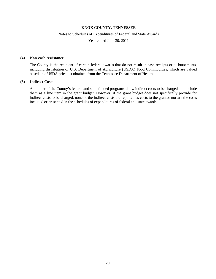#### Notes to Schedules of Expenditures of Federal and State Awards

Year ended June 30, 2011

#### **(4) Non-cash Assistance**

The County is the recipient of certain federal awards that do not result in cash receipts or disbursements, including distribution of U.S. Department of Agriculture (USDA) Food Commodities, which are valued based on a USDA price list obtained from the Tennessee Department of Health.

#### **(5) Indirect Costs**

A number of the County's federal and state funded programs allow indirect costs to be charged and include them as a line item in the grant budget. However, if the grant budget does not specifically provide for indirect costs to be charged, none of the indirect costs are reported as costs to the grantor nor are the costs included or presented in the schedules of expenditures of federal and state awards.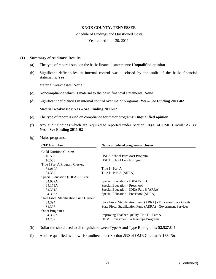#### Schedule of Findings and Questioned Costs

Year ended June 30, 2011

#### **(1) Summary of Auditors' Results**

- (a) The type of report issued on the basic financial statements: **Unqualified opinion**
- (b) Significant deficiencies in internal control was disclosed by the audit of the basic financial statements: **Yes**

Material weaknesses: **None**

- (c) Noncompliance which is material to the basic financial statements: **None**
- (d) Significant deficiencies in internal control over major programs: **Yes – See Finding 2011-02**

Material weaknesses: **Yes – See Finding 2011-02**

- (e) The type of report issued on compliance for major programs: **Unqualified opinion**
- (f) Any audit findings which are required to reported under Section 510(a) of OMB Circular A-133: **Yes – See Finding 2011-02**
- (g) Major programs:

| <b>CFDA</b> number                       | Name of federal program or cluster                              |
|------------------------------------------|-----------------------------------------------------------------|
| Child Nutrition Cluster:                 |                                                                 |
| 10.553                                   | USDA School Breakfast Program                                   |
| 10.555                                   | USDA School Lunch Program                                       |
| Title I Part A Program Cluster:          |                                                                 |
| 84.010A                                  | Title I - Part A                                                |
| 84.389                                   | Title I - Part A (ARRA)                                         |
| Special Education (IDEA) Cluster:        |                                                                 |
| 84.027A                                  | Special Education - IDEA Part B                                 |
| 84.173A                                  | Special Education - Preschool                                   |
| 84.391A                                  | Special Education - IDEA Part B (ARRA)                          |
| 84.392A                                  | Special Education - Preschool (ARRA)                            |
| State Fiscal Stabilization Fund Cluster: |                                                                 |
| 84.394                                   | State Fiscal Stabilization Fund (ARRA) - Education State Grants |
| 84.397                                   | State Fiscal Stabilization Fund (ARRA) - Government Services    |
| Other Programs:                          |                                                                 |
| 84.367A                                  | Improving Teacher Quality Title II - Part A                     |
| 14.239                                   | <b>HOME</b> Investment Partnerships Programs                    |

(h) Dollar threshold used to distinguish between Type A and Type B programs: **\$2,527,846**

(i) Auditee qualified as a low-risk auditee under Section .530 of OMB Circular A-133: **No**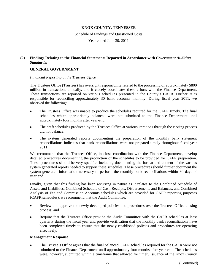Schedule of Findings and Questioned Costs

Year ended June 30, 2011

#### **(2) Findings Relating to the Financial Statements Reported in Accordance with** *Government Auditing Standards***:**

#### **GENERAL GOVERNMENT**

#### *Financial Reporting at the Trustees Office*

The Trustees Office (Trustees) has oversight responsibility related to the processing of approximately \$800 million in transactions annually, and it closely coordinates these efforts with the Finance Department. These transactions are reported on various schedules presented in the County's CAFR. Further, it is responsible for reconciling approximately 30 bank accounts monthly. During fiscal year 2011, we observed the following:

- The Trustees Office was unable to produce the schedules required for the CAFR timely. The final schedules which appropriately balanced were not submitted to the Finance Department until approximately four months after year-end.
- The draft schedules produced by the Trustees Office at various iterations through the closing process did not balance.
- The system generated reports documenting the preparation of the monthly bank statement reconciliations indicates that bank reconciliations were not prepared timely throughout fiscal year 2011.

We recommend that the Trustees Office, in close coordination with the Finance Department, develop detailed procedures documenting the production of the schedules to be provided for CAFR preparation. These procedures should be very specific, including documenting the format and content of the various system generated reports needed to support these schedules. These procedures should further document the system generated information necessary to perform the monthly bank reconciliations within 30 days of year end.

Finally, given that this finding has been recurring in nature as it relates to the Combined Schedule of Assets and Liabilities, Combined Schedule of Cash Receipts, Disbursements and Balances, and Combined Analysis of Fee and Commission Accounts schedules which are provided for CAFR reporting purposes (CAFR schedules), we recommend that the Audit Committee:

- Review and approve the newly developed policies and procedures over the Trustees Office closing process; and
- Require that the Trustees Office provide the Audit Committee with the CAFR schedules at least quarterly during the fiscal year and provide verification that the monthly bank reconciliations have been completed timely to ensure that the newly established policies and procedures are operating effectively.

#### **Management Response**

• The Trustee's Office agrees that the final balanced CAFR schedules required for the CAFR were not submitted to the Finance Department until approximately four months after year-end. The schedules were, however, submitted within a timeframe that allowed for timely issuance of the Knox County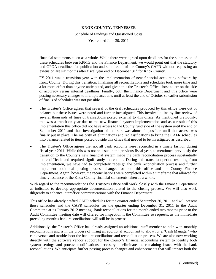Schedule of Findings and Questioned Costs

Year ended June 30, 2011

financial statements taken as a whole. While there were agreed upon deadlines for the submission of these schedules between KPMG and the Finance Department, we would point out that the statutory and GFOA deadlines for publication and submission of the County's CAFR without requesting an extension are six months after fiscal year end or December  $31<sup>st</sup>$  for Knox County.

FY 2011 was a transition year with the implementation of new financial accounting software by Knox County. During this transition, finalizing all reconciliations and schedules took more time and a lot more effort than anyone anticipated, and given this the Trustee's Office chose to err on the side of accuracy versus internal deadlines. Finally, both the Finance Department and this office were posting necessary changes to multiple accounts until at least the end of October so earlier submission of finalized schedules was not possible.

- The Trustee's Office agrees that several of the draft schedules produced by this office were out of balance but these issues were noted and further investigated. This involved a line by line review of several thousands of lines of transactions posted external to this office. As mentioned previously, this was a transition year due to the new financial system implementation and as a result of this implementation this office did not have access to the County fund side of the system until the end of September 2011 and thus investigation of this sort was almost impossible until that access was finally put in place. The majority of eliminations and reclassifications to bring the CAFR schedules into balance related to items posted outside this office that needed to be investigated as described.
- The Trustee's Office agrees that not all bank accounts were reconciled in a timely fashion during fiscal year 2011. While this was not an issue in the previous fiscal year, as mentioned previously the transition to the County's new financial system made the bank reconciliation process substantially more difficult and required significantly more time. During this transition period resulting from implementation, we have had to completely redesign the bank reconciliation process and further implement additional posting process changes for both this office and the County Finance Department. Again, however, the reconciliations were completed within a timeframe that allowed for timely issuance of the Knox County financial statements taken as a whole.

With regard to the recommendations the Trustee's Office will work closely with the Finance Department as indicated to develop appropriate documentation related to the closing process. We will also work diligently to enhance interoffice communications with the Finance Department.

This office has already drafted CAFR schedules for the quarter ended September 30, 2011 and will present those schedules and the CAFR schedules for the quarter ending December 31, 2011 to the Audit Committee at its January 2012 meeting. Bank reconciliations for the month ended two months prior to the Audit Committee meeting date will offered for inspection if the Committee so requests, as the immediate preceding month's bank reconciliations will still be in process.

Additionally, the Trustee's Office has already assigned an additional staff member to help with monthly reconciliations and is in the process of hiring an additional accountant to allow for a 'Cash Manager' who can oversee and troubleshoot the bank reconciliations and reconciliation process. We are also now working directly with the software vendor support for the County's financial accounting system to identify both system settings and process modifications necessary to eliminate the remaining issues with the bank reconciliations. We anticipate further posting process changes and enhancements that will impact both the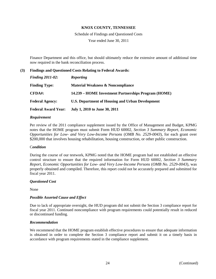Schedule of Findings and Questioned Costs

Year ended June 30, 2011

Finance Department and this office, but should ultimately reduce the extensive amount of additional time now required in the bank reconciliation process.

#### **(3) Findings and Questioned Costs Relating to Federal Awards:**

| <b>Finding 2011-02:</b>    | <b>Reporting</b>                                     |
|----------------------------|------------------------------------------------------|
| <b>Finding Type:</b>       | <b>Material Weakness &amp; Noncompliance</b>         |
| $CFDA#$ :                  | 14.239 – HOME Investment Partnerships Program (HOME) |
| <b>Federal Agency:</b>     | U.S. Department of Housing and Urban Development     |
| <b>Federal Award Year:</b> | July 1, 2010 to June 30, 2011                        |

#### *Requirement*

Per review of the 2011 compliance supplement issued by the Office of Management and Budget, KPMG notes that the HOME program must submit Form HUD 60002, *Section 3 Summary Report, Economic Opportunities for Low- and Very Low-Income Persons* (*OMB No. 2529-0043*), for each grant over \$200,000 that involves housing rehabilitation, housing construction, or other public construction.

#### C*ondition*

During the course of our testwork, KPMG noted that the HOME program had not established an effective control structure to ensure that the required information for Form HUD 60002, *Section 3 Summary Report, Economic Opportunities for Low- and Very Low-Income Persons* (*OMB No. 2529-0043*), was properly obtained and compiled. Therefore, this report could not be accurately prepared and submitted for fiscal year 2011.

#### *Questioned Cost*

None

#### *Possible Asserted Cause and Effect*

Due to lack of appropriate oversight, the HUD program did not submit the Section 3 compliance report for fiscal year 2011. Continued noncompliance with program requirements could potentially result in reduced or discontinued funding.

#### *Recommendation*

We recommend that the HOME program establish effective procedures to ensure that adequate information is obtained in order to complete the Section 3 compliance report and submit it on a timely basis in accordance with program requirements stated in the compliance supplement.